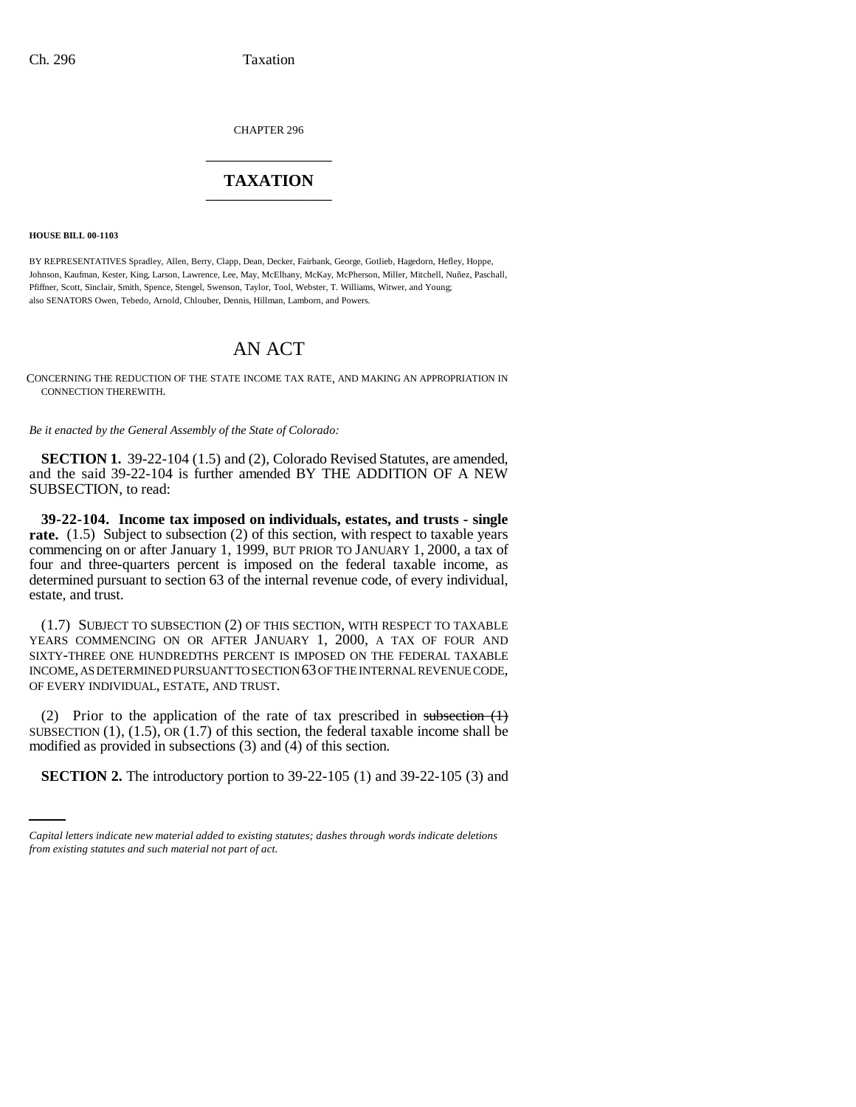CHAPTER 296 \_\_\_\_\_\_\_\_\_\_\_\_\_\_\_

## **TAXATION** \_\_\_\_\_\_\_\_\_\_\_\_\_\_\_

**HOUSE BILL 00-1103** 

BY REPRESENTATIVES Spradley, Allen, Berry, Clapp, Dean, Decker, Fairbank, George, Gotlieb, Hagedorn, Hefley, Hoppe, Johnson, Kaufman, Kester, King, Larson, Lawrence, Lee, May, McElhany, McKay, McPherson, Miller, Mitchell, Nuñez, Paschall, Pfiffner, Scott, Sinclair, Smith, Spence, Stengel, Swenson, Taylor, Tool, Webster, T. Williams, Witwer, and Young; also SENATORS Owen, Tebedo, Arnold, Chlouber, Dennis, Hillman, Lamborn, and Powers.

## AN ACT

CONCERNING THE REDUCTION OF THE STATE INCOME TAX RATE, AND MAKING AN APPROPRIATION IN CONNECTION THEREWITH.

*Be it enacted by the General Assembly of the State of Colorado:*

**SECTION 1.** 39-22-104 (1.5) and (2), Colorado Revised Statutes, are amended, and the said 39-22-104 is further amended BY THE ADDITION OF A NEW SUBSECTION, to read:

**39-22-104. Income tax imposed on individuals, estates, and trusts - single rate.** (1.5) Subject to subsection (2) of this section, with respect to taxable years commencing on or after January 1, 1999, BUT PRIOR TO JANUARY 1, 2000, a tax of four and three-quarters percent is imposed on the federal taxable income, as determined pursuant to section 63 of the internal revenue code, of every individual, estate, and trust.

(1.7) SUBJECT TO SUBSECTION (2) OF THIS SECTION, WITH RESPECT TO TAXABLE YEARS COMMENCING ON OR AFTER JANUARY 1, 2000, A TAX OF FOUR AND SIXTY-THREE ONE HUNDREDTHS PERCENT IS IMPOSED ON THE FEDERAL TAXABLE INCOME, AS DETERMINED PURSUANT TO SECTION 63 OF THE INTERNAL REVENUE CODE, OF EVERY INDIVIDUAL, ESTATE, AND TRUST.

modified as provided in subsections (3) and (4) of this section. (2) Prior to the application of the rate of tax prescribed in subsection  $(1)$ SUBSECTION  $(1)$ ,  $(1.5)$ , OR  $(1.7)$  of this section, the federal taxable income shall be

**SECTION 2.** The introductory portion to 39-22-105 (1) and 39-22-105 (3) and

*Capital letters indicate new material added to existing statutes; dashes through words indicate deletions from existing statutes and such material not part of act.*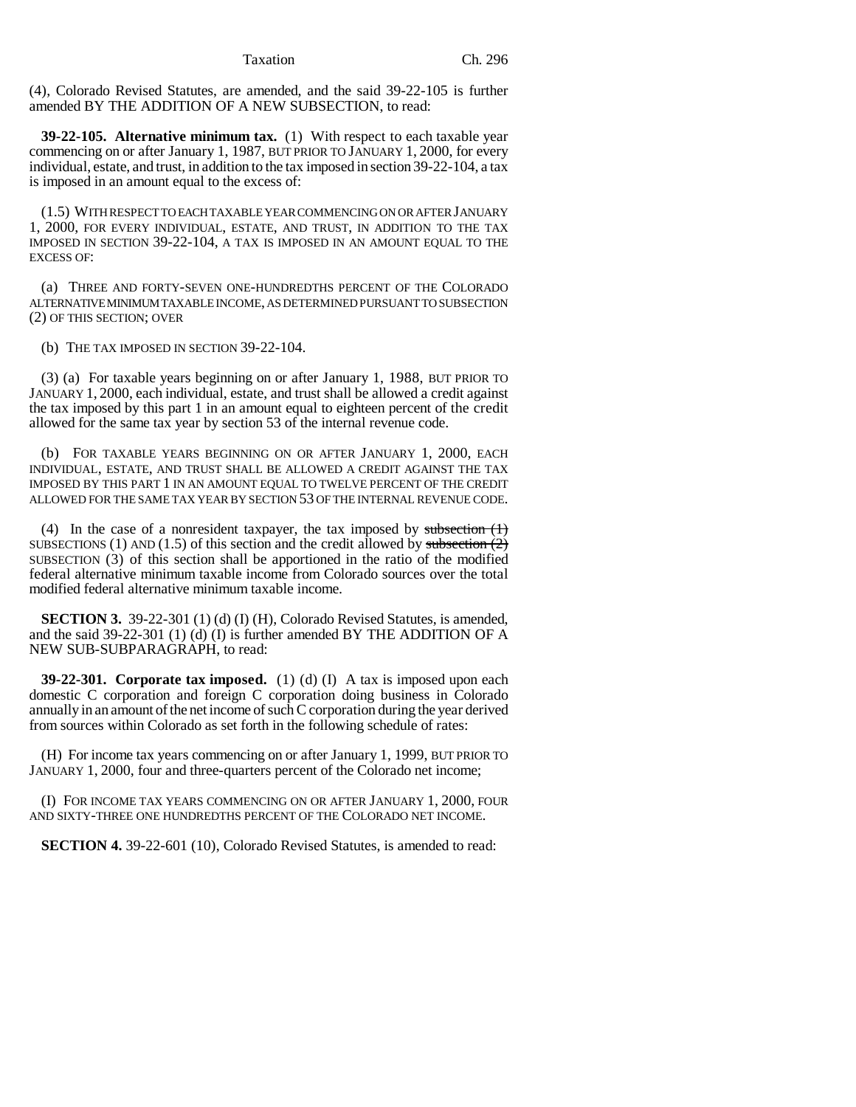Taxation Ch. 296

(4), Colorado Revised Statutes, are amended, and the said 39-22-105 is further amended BY THE ADDITION OF A NEW SUBSECTION, to read:

**39-22-105. Alternative minimum tax.** (1) With respect to each taxable year commencing on or after January 1, 1987, BUT PRIOR TO JANUARY 1, 2000, for every individual, estate, and trust, in addition to the tax imposed in section 39-22-104, a tax is imposed in an amount equal to the excess of:

(1.5) WITH RESPECT TO EACH TAXABLE YEAR COMMENCING ON OR AFTER JANUARY 1, 2000, FOR EVERY INDIVIDUAL, ESTATE, AND TRUST, IN ADDITION TO THE TAX IMPOSED IN SECTION 39-22-104, A TAX IS IMPOSED IN AN AMOUNT EQUAL TO THE EXCESS OF:

(a) THREE AND FORTY-SEVEN ONE-HUNDREDTHS PERCENT OF THE COLORADO ALTERNATIVE MINIMUM TAXABLE INCOME, AS DETERMINED PURSUANT TO SUBSECTION (2) OF THIS SECTION; OVER

(b) THE TAX IMPOSED IN SECTION 39-22-104.

(3) (a) For taxable years beginning on or after January 1, 1988, BUT PRIOR TO JANUARY 1, 2000, each individual, estate, and trust shall be allowed a credit against the tax imposed by this part 1 in an amount equal to eighteen percent of the credit allowed for the same tax year by section 53 of the internal revenue code.

(b) FOR TAXABLE YEARS BEGINNING ON OR AFTER JANUARY 1, 2000, EACH INDIVIDUAL, ESTATE, AND TRUST SHALL BE ALLOWED A CREDIT AGAINST THE TAX IMPOSED BY THIS PART 1 IN AN AMOUNT EQUAL TO TWELVE PERCENT OF THE CREDIT ALLOWED FOR THE SAME TAX YEAR BY SECTION 53 OF THE INTERNAL REVENUE CODE.

(4) In the case of a nonresident taxpayer, the tax imposed by subsection  $(1)$ SUBSECTIONS (1) AND (1.5) of this section and the credit allowed by subsection  $(2)$ SUBSECTION (3) of this section shall be apportioned in the ratio of the modified federal alternative minimum taxable income from Colorado sources over the total modified federal alternative minimum taxable income.

**SECTION 3.** 39-22-301 (1) (d) (I) (H), Colorado Revised Statutes, is amended, and the said 39-22-301 (1) (d) (I) is further amended BY THE ADDITION OF A NEW SUB-SUBPARAGRAPH, to read:

**39-22-301. Corporate tax imposed.** (1) (d) (I) A tax is imposed upon each domestic C corporation and foreign C corporation doing business in Colorado annually in an amount of the net income of such C corporation during the year derived from sources within Colorado as set forth in the following schedule of rates:

(H) For income tax years commencing on or after January 1, 1999, BUT PRIOR TO JANUARY 1, 2000, four and three-quarters percent of the Colorado net income;

(I) FOR INCOME TAX YEARS COMMENCING ON OR AFTER JANUARY 1, 2000, FOUR AND SIXTY-THREE ONE HUNDREDTHS PERCENT OF THE COLORADO NET INCOME.

**SECTION 4.** 39-22-601 (10), Colorado Revised Statutes, is amended to read: